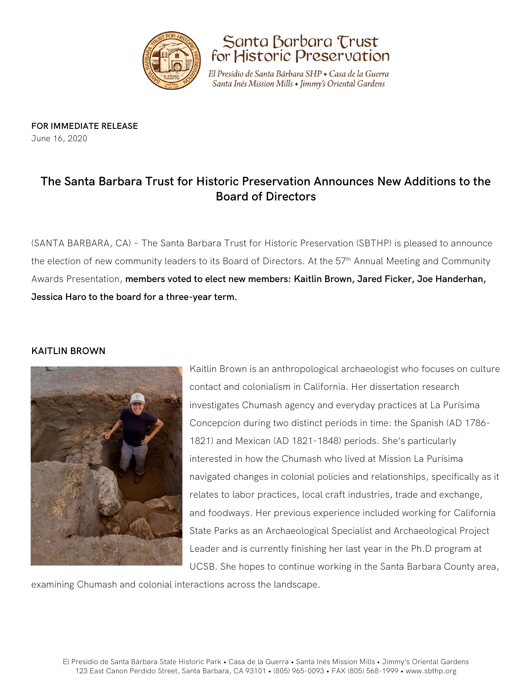



El Presidio de Santa Bárbara SHP • Casa de la Guerra Santa Inés Mission Mills • Jimmy's Oriental Gardens

**FOR IMMEDIATE RELEASE** June 16, 2020

# **The Santa Barbara Trust for Historic Preservation Announces New Additions to the Board of Directors**

(SANTA BARBARA, CA) – The Santa Barbara Trust for Historic Preservation (SBTHP) is pleased to announce the election of new community leaders to its Board of Directors. At the 57<sup>th</sup> Annual Meeting and Community Awards Presentation, **members voted to elect new members: Kaitlin Brown, Jared Ficker, Joe Handerhan, Jessica Haro to the board for a three-year term.**

# **KAITLIN BROWN**



Kaitlin Brown is an anthropological archaeologist who focuses on culture contact and colonialism in California. Her dissertation research investigates Chumash agency and everyday practices at La Purísima Concepcíon during two distinct periods in time: the Spanish (AD 1786- 1821) and Mexican (AD 1821-1848) periods. She's particularly interested in how the Chumash who lived at Mission La Purísima navigated changes in colonial policies and relationships, specifically as it relates to labor practices, local craft industries, trade and exchange, and foodways. Her previous experience included working for California State Parks as an Archaeological Specialist and Archaeological Project Leader and is currently finishing her last year in the Ph.D program at UCSB. She hopes to continue working in the Santa Barbara County area,

examining Chumash and colonial interactions across the landscape.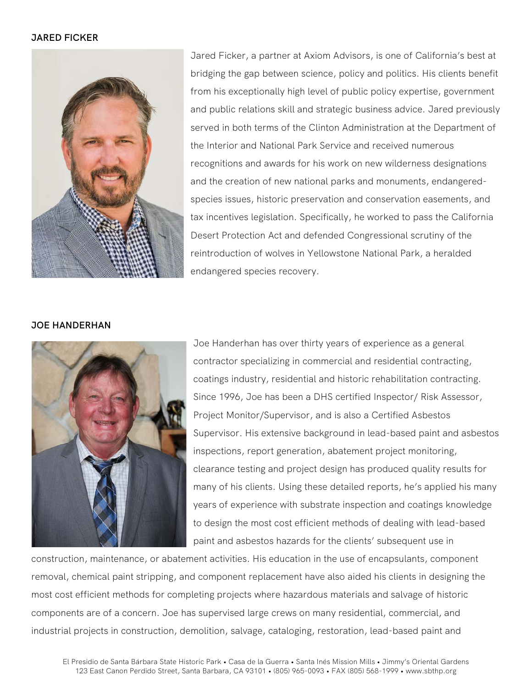## **JARED FICKER**



Jared Ficker, a partner at Axiom Advisors, is one of California's best at bridging the gap between science, policy and politics. His clients benefit from his exceptionally high level of public policy expertise, government and public relations skill and strategic business advice. Jared previously served in both terms of the Clinton Administration at the Department of the Interior and National Park Service and received numerous recognitions and awards for his work on new wilderness designations and the creation of new national parks and monuments, endangeredspecies issues, historic preservation and conservation easements, and tax incentives legislation. Specifically, he worked to pass the California Desert Protection Act and defended Congressional scrutiny of the reintroduction of wolves in Yellowstone National Park, a heralded endangered species recovery.

## **JOE HANDERHAN**



Joe Handerhan has over thirty years of experience as a general contractor specializing in commercial and residential contracting, coatings industry, residential and historic rehabilitation contracting. Since 1996, Joe has been a DHS certified Inspector/ Risk Assessor, Project Monitor/Supervisor, and is also a Certified Asbestos Supervisor. His extensive background in lead-based paint and asbestos inspections, report generation, abatement project monitoring, clearance testing and project design has produced quality results for many of his clients. Using these detailed reports, he's applied his many years of experience with substrate inspection and coatings knowledge to design the most cost efficient methods of dealing with lead-based paint and asbestos hazards for the clients' subsequent use in

construction, maintenance, or abatement activities. His education in the use of encapsulants, component removal, chemical paint stripping, and component replacement have also aided his clients in designing the most cost efficient methods for completing projects where hazardous materials and salvage of historic components are of a concern. Joe has supervised large crews on many residential, commercial, and industrial projects in construction, demolition, salvage, cataloging, restoration, lead-based paint and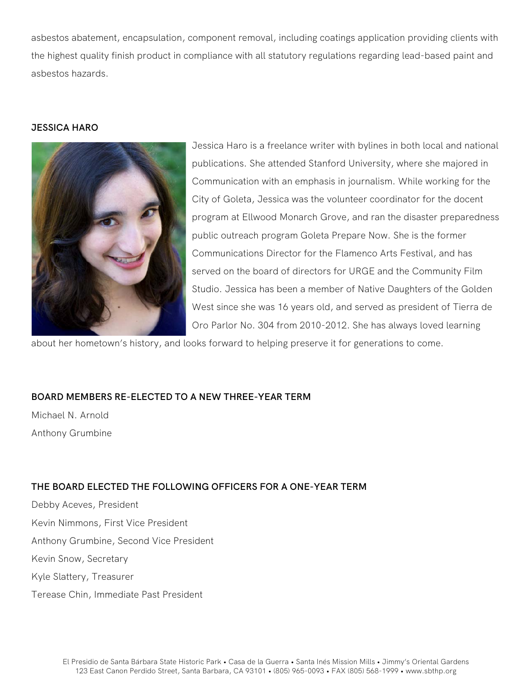asbestos abatement, encapsulation, component removal, including coatings application providing clients with the highest quality finish product in compliance with all statutory regulations regarding lead-based paint and asbestos hazards.

#### **JESSICA HARO**



Jessica Haro is a freelance writer with bylines in both local and national publications. She attended Stanford University, where she majored in Communication with an emphasis in journalism. While working for the City of Goleta, Jessica was the volunteer coordinator for the docent program at Ellwood Monarch Grove, and ran the disaster preparedness public outreach program Goleta Prepare Now. She is the former Communications Director for the Flamenco Arts Festival, and has served on the board of directors for URGE and the Community Film Studio. Jessica has been a member of Native Daughters of the Golden West since she was 16 years old, and served as president of Tierra de Oro Parlor No. 304 from 2010-2012. She has always loved learning

about her hometown's history, and looks forward to helping preserve it for generations to come.

# **BOARD MEMBERS RE-ELECTED TO A NEW THREE-YEAR TERM**

Michael N. Arnold Anthony Grumbine

# **THE BOARD ELECTED THE FOLLOWING OFFICERS FOR A ONE-YEAR TERM**

Debby Aceves, President Kevin Nimmons, First Vice President Anthony Grumbine, Second Vice President Kevin Snow, Secretary Kyle Slattery, Treasurer Terease Chin, Immediate Past President